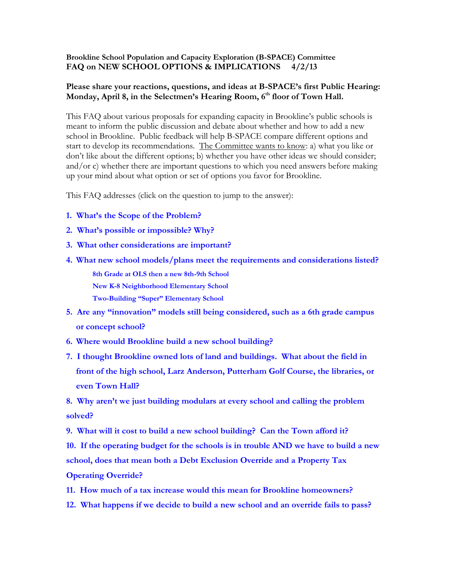## **Brookline School Population and Capacity Exploration (B-SPACE) Committee FAQ on NEW SCHOOL OPTIONS & IMPLICATIONS 4/2/13**

# **Please share your reactions, questions, and ideas at B-SPACE's first Public Hearing: Monday, April 8, in the Selectmen's Hearing Room, 6th floor of Town Hall.**

This FAQ about various proposals for expanding capacity in Brookline's public schools is meant to inform the public discussion and debate about whether and how to add a new school in Brookline. Public feedback will help B-SPACE compare different options and start to develop its recommendations. The Committee wants to know: a) what you like or don't like about the different options; b) whether you have other ideas we should consider; and/or c) whether there are important questions to which you need answers before making up your mind about what option or set of options you favor for Brookline.

This FAQ addresses (click on the question to jump to the answer):

- **[1. What's the Scope of the Probl](#page-1-0)em?**
- **[2. What's possible or impossible? Why?](#page-1-1)**
- **[3. What other considerations are important?](#page-2-0)**
- **4. [What new school models/plans meet the requirements and considerations listed?](#page-3-0) [8th Grade at OLS then a new 8th-9th School](#page-3-1) [New K-8 Neighborhood Elementary School](#page-4-0) Two-[Building "Super" Elementary School](#page-5-0)**
- **[5. Are any "innovation" models still being considered, such as a 6th grade campus](#page-5-1)  [or concept school?](#page-5-1)**
- **6. [Where would Brookline build a new school building?](#page-5-2)**
- **[7. I thought Brookline owned lots of land and buildings. What about the field in](#page-6-0)  [front of the high school, Larz Anderson, Putterham Golf Course, the libraries, or](#page-6-0)  [even Town Hall?](#page-6-0)**

**8. Why aren't we just b[uilding modulars at every school and calling the problem](#page-6-1)  [solved?](#page-6-1)**

**[9. What will it cost to build a new school building? Can the Town afford it?](#page-6-2)**

**[10. If the operating budget for the schools is in trouble AND we have to build a new](#page-7-0)  [school, does that mean both a Debt Exclusion Override and a Property Tax](#page-7-0)  [Operating Override?](#page-7-0)**

- **[11. How much of a tax increase would this mean for Brookline homeowners?](#page-7-1)**
- **[12. What happens if we decide to build](#page-7-2) a new school and an override fails to pass?**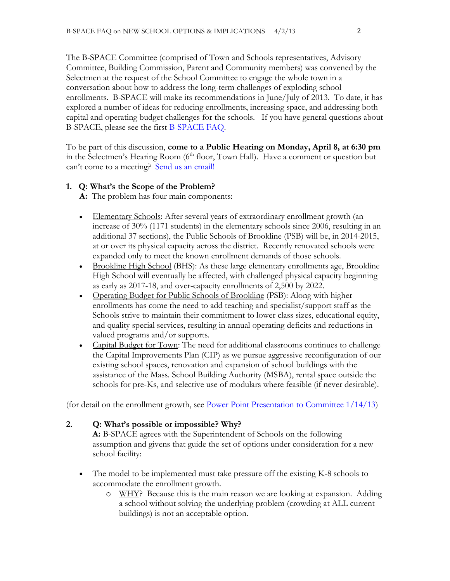The B-SPACE Committee (comprised of Town and Schools representatives, Advisory Committee, Building Commission, Parent and Community members) was convened by the Selectmen at the request of the School Committee to engage the whole town in a conversation about how to address the long-term challenges of exploding school enrollments. B-SPACE will make its recommendations in June/July of 2013. To date, it has explored a number of ideas for reducing enrollments, increasing space, and addressing both capital and operating budget challenges for the schools. If you have general questions about B-SPACE, please see the first [B-SPACE FAQ.](http://www.brooklinema.gov/index.php?option=com_docman&Itemid=1744)

To be part of this discussion, **come to a Public Hearing on Monday, April 8, at 6:30 pm** in the Selectmen's Hearing Room  $(6<sup>th</sup>$  floor, Town Hall). Have a comment or question but can't come to a meeting? [Send us an email!](mailto:alan_morse@brookline.k12.ma.us,%20robin_coyne@brookline.k12.ma.us,%20betsy@betsydewitt.com?subject=Comments%20on%20New%20School%20Options)

# <span id="page-1-0"></span>**1. Q: What's the Scope of the Problem?**

**A:** The problem has four main components:

- Elementary Schools: After several years of extraordinary enrollment growth (an increase of 30% (1171 students) in the elementary schools since 2006, resulting in an additional 37 sections), the Public Schools of Brookline (PSB) will be, in 2014-2015, at or over its physical capacity across the district. Recently renovated schools were expanded only to meet the known enrollment demands of those schools.
- **Brookline High School (BHS):** As these large elementary enrollments age, Brookline High School will eventually be affected, with challenged physical capacity beginning as early as 2017-18, and over-capacity enrollments of 2,500 by 2022.
- Operating Budget for Public Schools of Brookline (PSB): Along with higher enrollments has come the need to add teaching and specialist/support staff as the Schools strive to maintain their commitment to lower class sizes, educational equity, and quality special services, resulting in annual operating deficits and reductions in valued programs and/or supports.
- Capital Budget for Town: The need for additional classrooms continues to challenge the Capital Improvements Plan (CIP) as we pursue aggressive reconfiguration of our existing school spaces, renovation and expansion of school buildings with the assistance of the Mass. School Building Authority (MSBA), rental space outside the schools for pre-Ks, and selective use of modulars where feasible (if never desirable).

(for detail on the enrollment growth, see [Power Point Presentation to Committee 1/14/13\)](http://www.brooklinema.gov/index.php?option=com_docman&Itemid=1744)

**2. Q: What's possible or impossible? Why?** 

<span id="page-1-1"></span>**A:** B-SPACE agrees with the Superintendent of Schools on the following assumption and givens that guide the set of options under consideration for a new school facility:

- The model to be implemented must take pressure off the existing K-8 schools to accommodate the enrollment growth.
	- o WHY? Because this is the main reason we are looking at expansion. Adding a school without solving the underlying problem (crowding at ALL current buildings) is not an acceptable option.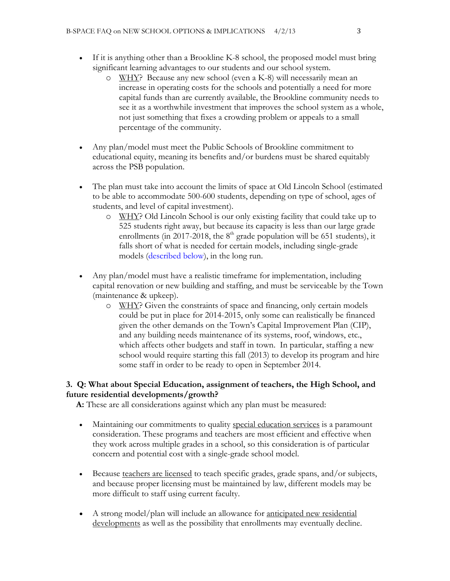- If it is anything other than a Brookline K-8 school, the proposed model must bring significant learning advantages to our students and our school system.
	- o WHY? Because any new school (even a K-8) will necessarily mean an increase in operating costs for the schools and potentially a need for more capital funds than are currently available, the Brookline community needs to see it as a worthwhile investment that improves the school system as a whole, not just something that fixes a crowding problem or appeals to a small percentage of the community.
- Any plan/model must meet the Public Schools of Brookline commitment to educational equity, meaning its benefits and/or burdens must be shared equitably across the PSB population.
- The plan must take into account the limits of space at Old Lincoln School (estimated to be able to accommodate 500-600 students, depending on type of school, ages of students, and level of capital investment).
	- o WHY? Old Lincoln School is our only existing facility that could take up to 525 students right away, but because its capacity is less than our large grade enrollments (in 2017-2018, the  $8<sup>th</sup>$  grade population will be 651 students), it falls short of what is needed for certain models, including single-grade models [\(described below\)](#page-3-1), in the long run.
- Any plan/model must have a realistic timeframe for implementation, including capital renovation or new building and staffing, and must be serviceable by the Town (maintenance & upkeep).
	- o WHY? Given the constraints of space and financing, only certain models could be put in place for 2014-2015, only some can realistically be financed given the other demands on the Town's Capital Improvement Plan (CIP), and any building needs maintenance of its systems, roof, windows, etc., which affects other budgets and staff in town. In particular, staffing a new school would require starting this fall (2013) to develop its program and hire some staff in order to be ready to open in September 2014.

## <span id="page-2-0"></span>**3. Q: What about Special Education, assignment of teachers, the High School, and future residential developments/growth?**

**A:** These are all considerations against which any plan must be measured:

- Maintaining our commitments to quality special education services is a paramount consideration. These programs and teachers are most efficient and effective when they work across multiple grades in a school, so this consideration is of particular concern and potential cost with a single-grade school model.
- Because teachers are licensed to teach specific grades, grade spans, and/or subjects, and because proper licensing must be maintained by law, different models may be more difficult to staff using current faculty.
- A strong model/plan will include an allowance for anticipated new residential developments as well as the possibility that enrollments may eventually decline.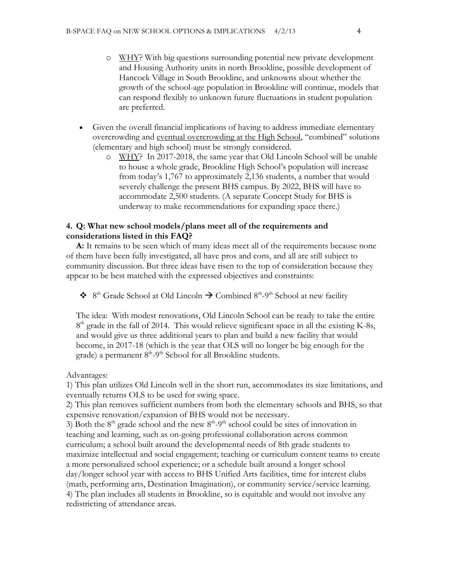- o WHY? With big questions surrounding potential new private development and Housing Authority units in north Brookline, possible development of Hancock Village in South Brookline, and unknowns about whether the growth of the school-age population in Brookline will continue, models that can respond flexibly to unknown future fluctuations in student population are preferred.
- Given the overall financial implications of having to address immediate elementary overcrowding and eventual overcrowding at the High School, "combined" solutions (elementary and high school) must be strongly considered.
	- o WHY? In 2017-2018, the same year that Old Lincoln School will be unable to house a whole grade, Brookline High School's population will increase from today's 1,767 to approximately 2,136 students, a number that would severely challenge the present BHS campus. By 2022, BHS will have to accommodate 2,500 students. (A separate Concept Study for BHS is underway to make recommendations for expanding space there.)

## <span id="page-3-0"></span>**4. Q: What new school models/plans meet all of the requirements and considerations listed in this FAQ?**

**A:** It remains to be seen which of many ideas meet all of the requirements because none of them have been fully investigated, all have pros and cons, and all are still subject to community discussion. But three ideas have risen to the top of consideration because they appear to be best matched with the expressed objectives and constraints:

<span id="page-3-1"></span> $\bullet$  8<sup>th</sup> Grade School at Old Lincoln  $\rightarrow$  Combined 8<sup>th</sup>-9<sup>th</sup> School at new facility

The idea: With modest renovations, Old Lincoln School can be ready to take the entire 8<sup>th</sup> grade in the fall of 2014. This would relieve significant space in all the existing K-8s, and would give us three additional years to plan and build a new facility that would become, in 2017-18 (which is the year that OLS will no longer be big enough for the grade) a permanent 8<sup>th</sup>-9<sup>th</sup> School for all Brookline students.

Advantages:

1) This plan utilizes Old Lincoln well in the short run, accommodates its size limitations, and eventually returns OLS to be used for swing space.

2) This plan removes sufficient numbers from both the elementary schools and BHS, so that expensive renovation/expansion of BHS would not be necessary.

3) Both the  $8<sup>th</sup>$  grade school and the new  $8<sup>th</sup>$ -9<sup>th</sup> school could be sites of innovation in teaching and learning, such as on-going professional collaboration across common curriculum; a school built around the developmental needs of 8th grade students to maximize intellectual and social engagement; teaching or curriculum content teams to create a more personalized school experience; or a schedule built around a longer school day/longer school year with access to BHS Unified Arts facilities, time for interest clubs (math, performing arts, Destination Imagination), or community service/service learning. 4) The plan includes all students in Brookline, so is equitable and would not involve any redistricting of attendance areas.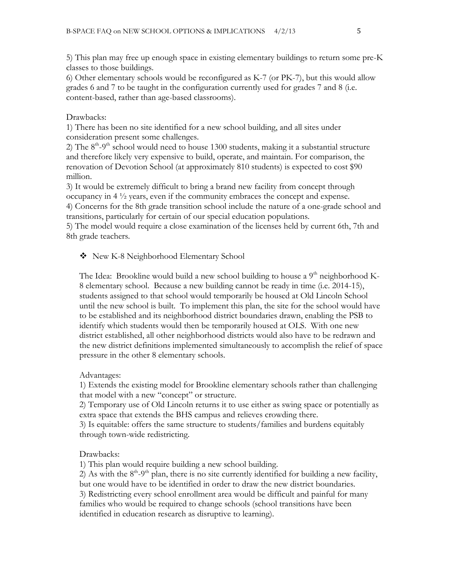5) This plan may free up enough space in existing elementary buildings to return some pre-K classes to those buildings.

6) Other elementary schools would be reconfigured as K-7 (or PK-7), but this would allow grades 6 and 7 to be taught in the configuration currently used for grades 7 and 8 (i.e. content-based, rather than age-based classrooms).

## Drawbacks:

1) There has been no site identified for a new school building, and all sites under consideration present some challenges.

2) The  $8<sup>th</sup>$ -9<sup>th</sup> school would need to house 1300 students, making it a substantial structure and therefore likely very expensive to build, operate, and maintain. For comparison, the renovation of Devotion School (at approximately 810 students) is expected to cost \$90 million.

3) It would be extremely difficult to bring a brand new facility from concept through occupancy in 4 ½ years, even if the community embraces the concept and expense.

4) Concerns for the 8th grade transition school include the nature of a one-grade school and transitions, particularly for certain of our special education populations.

5) The model would require a close examination of the licenses held by current 6th, 7th and 8th grade teachers.

# <span id="page-4-0"></span>New K-8 Neighborhood Elementary School

The Idea: Brookline would build a new school building to house a  $9<sup>th</sup>$  neighborhood K-8 elementary school. Because a new building cannot be ready in time (i.e. 2014-15), students assigned to that school would temporarily be housed at Old Lincoln School until the new school is built. To implement this plan, the site for the school would have to be established and its neighborhood district boundaries drawn, enabling the PSB to identify which students would then be temporarily housed at OLS. With one new district established, all other neighborhood districts would also have to be redrawn and the new district definitions implemented simultaneously to accomplish the relief of space pressure in the other 8 elementary schools.

## Advantages:

1) Extends the existing model for Brookline elementary schools rather than challenging that model with a new "concept" or structure.

2) Temporary use of Old Lincoln returns it to use either as swing space or potentially as extra space that extends the BHS campus and relieves crowding there.

3) Is equitable: offers the same structure to students/families and burdens equitably through town-wide redistricting.

## Drawbacks:

1) This plan would require building a new school building.

2) As with the  $8<sup>th</sup>-9<sup>th</sup>$  plan, there is no site currently identified for building a new facility, but one would have to be identified in order to draw the new district boundaries. 3) Redistricting every school enrollment area would be difficult and painful for many families who would be required to change schools (school transitions have been identified in education research as disruptive to learning).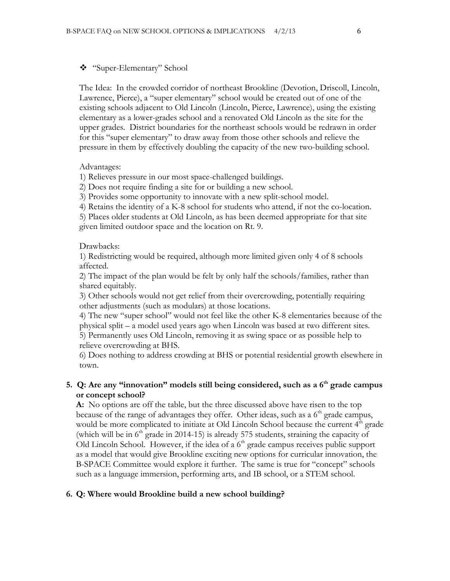## <span id="page-5-0"></span>"Super-Elementary" School

The Idea: In the crowded corridor of northeast Brookline (Devotion, Driscoll, Lincoln, Lawrence, Pierce), a "super elementary" school would be created out of one of the existing schools adjacent to Old Lincoln (Lincoln, Pierce, Lawrence), using the existing elementary as a lower-grades school and a renovated Old Lincoln as the site for the upper grades. District boundaries for the northeast schools would be redrawn in order for this "super elementary" to draw away from those other schools and relieve the pressure in them by effectively doubling the capacity of the new two-building school.

### Advantages:

1) Relieves pressure in our most space-challenged buildings.

2) Does not require finding a site for or building a new school.

3) Provides some opportunity to innovate with a new split-school model.

4) Retains the identity of a K-8 school for students who attend, if not the co-location.

5) Places older students at Old Lincoln, as has been deemed appropriate for that site given limited outdoor space and the location on Rt. 9.

### Drawbacks:

1) Redistricting would be required, although more limited given only 4 of 8 schools affected.

2) The impact of the plan would be felt by only half the schools/families, rather than shared equitably.

3) Other schools would not get relief from their overcrowding, potentially requiring other adjustments (such as modulars) at those locations.

4) The new "super school" would not feel like the other K-8 elementaries because of the physical split – a model used years ago when Lincoln was based at two different sites. 5) Permanently uses Old Lincoln, removing it as swing space or as possible help to relieve overcrowding at BHS.

6) Does nothing to address crowding at BHS or potential residential growth elsewhere in town.

# <span id="page-5-1"></span>**5. Q: Are any "innovation" models still being considered, such as a 6th grade campus or concept school?**

**A:** No options are off the table, but the three discussed above have risen to the top because of the range of advantages they offer. Other ideas, such as a  $6<sup>th</sup>$  grade campus, would be more complicated to initiate at Old Lincoln School because the current  $4<sup>th</sup>$  grade (which will be in  $6<sup>th</sup>$  grade in 2014-15) is already 575 students, straining the capacity of Old Lincoln School. However, if the idea of a  $6<sup>th</sup>$  grade campus receives public support as a model that would give Brookline exciting new options for curricular innovation, the B-SPACE Committee would explore it further. The same is true for "concept" schools such as a language immersion, performing arts, and IB school, or a STEM school.

## <span id="page-5-2"></span>**6. Q: Where would Brookline build a new school building?**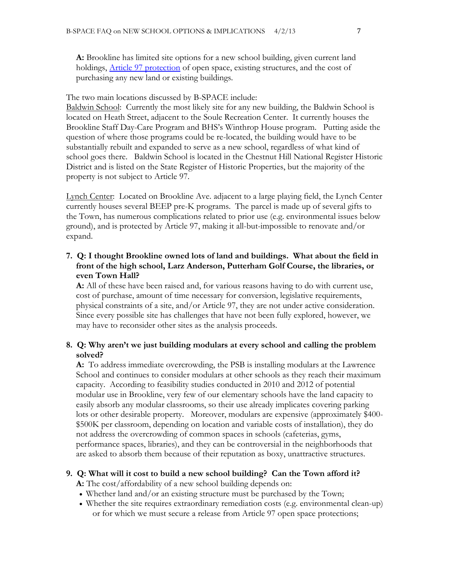**A:** Brookline has limited site options for a new school building, given current land holdings, [Article 97 protection](http://protectmassenvironment.org/public_lands_preservation_act.htm) of open space, existing structures, and the cost of purchasing any new land or existing buildings.

#### The two main locations discussed by B-SPACE include:

Baldwin School: Currently the most likely site for any new building, the Baldwin School is located on Heath Street, adjacent to the Soule Recreation Center. It currently houses the Brookline Staff Day-Care Program and BHS's Winthrop House program. Putting aside the question of where those programs could be re-located, the building would have to be substantially rebuilt and expanded to serve as a new school, regardless of what kind of school goes there. Baldwin School is located in the Chestnut Hill National Register Historic District and is listed on the State Register of Historic Properties, but the majority of the property is not subject to Article 97.

Lynch Center: Located on Brookline Ave. adjacent to a large playing field, the Lynch Center currently houses several BEEP pre-K programs. The parcel is made up of several gifts to the Town, has numerous complications related to prior use (e.g. environmental issues below ground), and is protected by Article 97, making it all-but-impossible to renovate and/or expand.

# <span id="page-6-0"></span>**7. Q: I thought Brookline owned lots of land and buildings. What about the field in front of the high school, Larz Anderson, Putterham Golf Course, the libraries, or even Town Hall?**

**A:** All of these have been raised and, for various reasons having to do with current use, cost of purchase, amount of time necessary for conversion, legislative requirements, physical constraints of a site, and/or Article 97, they are not under active consideration. Since every possible site has challenges that have not been fully explored, however, we may have to reconsider other sites as the analysis proceeds.

## <span id="page-6-1"></span>**8. Q: Why aren't we just building modulars at every school and calling the problem solved?**

**A:** To address immediate overcrowding, the PSB is installing modulars at the Lawrence School and continues to consider modulars at other schools as they reach their maximum capacity. According to feasibility studies conducted in 2010 and 2012 of potential modular use in Brookline, very few of our elementary schools have the land capacity to easily absorb any modular classrooms, so their use already implicates covering parking lots or other desirable property. Moreover, modulars are expensive (approximately \$400- \$500K per classroom, depending on location and variable costs of installation), they do not address the overcrowding of common spaces in schools (cafeterias, gyms, performance spaces, libraries), and they can be controversial in the neighborhoods that are asked to absorb them because of their reputation as boxy, unattractive structures.

#### <span id="page-6-2"></span>**9. Q: What will it cost to build a new school building? Can the Town afford it?**

**A:** The cost/affordability of a new school building depends on:

- Whether land and/or an existing structure must be purchased by the Town;
- Whether the site requires extraordinary remediation costs (e.g. environmental clean-up) or for which we must secure a release from Article 97 open space protections;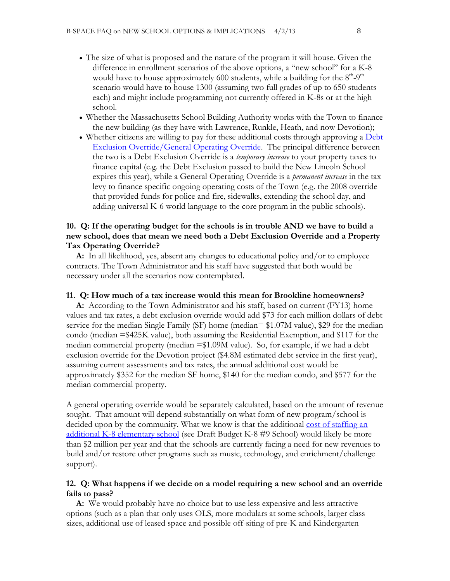- The size of what is proposed and the nature of the program it will house. Given the difference in enrollment scenarios of the above options, a "new school" for a K-8 would have to house approximately 600 students, while a building for the  $8<sup>th</sup>$ -9<sup>th</sup> scenario would have to house 1300 (assuming two full grades of up to 650 students each) and might include programming not currently offered in K-8s or at the high school.
- Whether the Massachusetts School Building Authority works with the Town to finance the new building (as they have with Lawrence, Runkle, Heath, and now Devotion);
- Whether citizens are willing to pay for these additional costs through approving a [Debt](http://www.mass.gov/dor/docs/dls/publ/misc/levylimits.pdf)  [Exclusion Override/General Operating Override.](http://www.mass.gov/dor/docs/dls/publ/misc/levylimits.pdf) The principal difference between the two is a Debt Exclusion Override is a *temporary increase* to your property taxes to finance capital (e.g. the Debt Exclusion passed to build the New Lincoln School expires this year), while a General Operating Override is a *permanent increase* in the tax levy to finance specific ongoing operating costs of the Town (e.g. the 2008 override that provided funds for police and fire, sidewalks, extending the school day, and adding universal K-6 world language to the core program in the public schools).

## <span id="page-7-0"></span>**10. Q: If the operating budget for the schools is in trouble AND we have to build a new school, does that mean we need both a Debt Exclusion Override and a Property Tax Operating Override?**

**A:** In all likelihood, yes, absent any changes to educational policy and/or to employee contracts. The Town Administrator and his staff have suggested that both would be necessary under all the scenarios now contemplated.

#### <span id="page-7-1"></span>**11. Q: How much of a tax increase would this mean for Brookline homeowners?**

**A:** According to the Town Administrator and his staff, based on current (FY13) home values and tax rates, a debt exclusion override would add \$73 for each million dollars of debt service for the median Single Family (SF) home (median= \$1.07M value), \$29 for the median condo (median =\$425K value), both assuming the Residential Exemption, and \$117 for the median commercial property (median  $=\frac{1.09M}{value}$ ). So, for example, if we had a debt exclusion override for the Devotion project (\$4.8M estimated debt service in the first year), assuming current assessments and tax rates, the annual additional cost would be approximately \$352 for the median SF home, \$140 for the median condo, and \$577 for the median commercial property.

A general operating override would be separately calculated, based on the amount of revenue sought. That amount will depend substantially on what form of new program/school is decided upon by the community. What we know is that the additional cost of staffing an [additional K-8 elementary school](http://www.brooklinema.gov/index.php?option=com_docman&Itemid=1744) (see Draft Budget K-8 #9 School) would likely be more than \$2 million per year and that the schools are currently facing a need for new revenues to build and/or restore other programs such as music, technology, and enrichment/challenge support).

## <span id="page-7-2"></span>**12. Q: What happens if we decide on a model requiring a new school and an override fails to pass?**

**A:** We would probably have no choice but to use less expensive and less attractive options (such as a plan that only uses OLS, more modulars at some schools, larger class sizes, additional use of leased space and possible off-siting of pre-K and Kindergarten